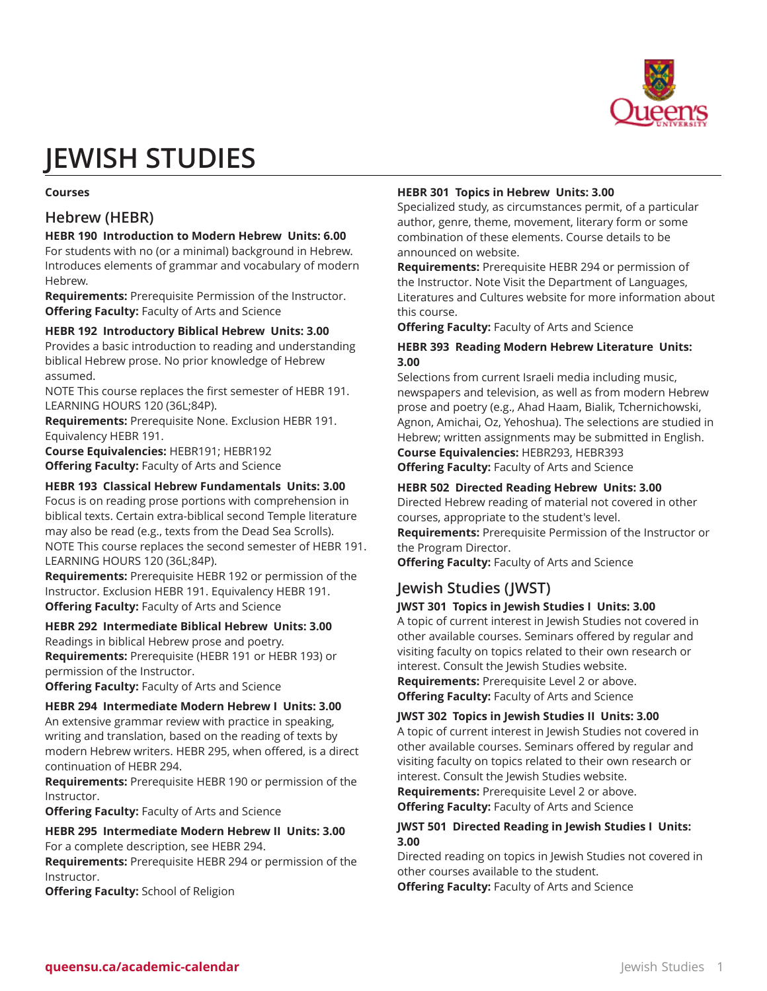

# **JEWISH STUDIES**

#### **Courses**

# **Hebrew (HEBR)**

## **HEBR 190 Introduction to Modern Hebrew Units: 6.00**

For students with no (or a minimal) background in Hebrew. Introduces elements of grammar and vocabulary of modern Hebrew.

**Requirements:** Prerequisite Permission of the Instructor. **Offering Faculty:** Faculty of Arts and Science

#### **HEBR 192 Introductory Biblical Hebrew Units: 3.00**

Provides a basic introduction to reading and understanding biblical Hebrew prose. No prior knowledge of Hebrew assumed.

NOTE This course replaces the first semester of HEBR 191. LEARNING HOURS 120 (36L;84P).

**Requirements:** Prerequisite None. Exclusion HEBR 191. Equivalency HEBR 191.

**Course Equivalencies:** HEBR191; HEBR192 **Offering Faculty:** Faculty of Arts and Science

#### **HEBR 193 Classical Hebrew Fundamentals Units: 3.00**

Focus is on reading prose portions with comprehension in biblical texts. Certain extra-biblical second Temple literature may also be read (e.g., texts from the Dead Sea Scrolls). NOTE This course replaces the second semester of HEBR 191. LEARNING HOURS 120 (36L;84P).

**Requirements:** Prerequisite HEBR 192 or permission of the Instructor. Exclusion HEBR 191. Equivalency HEBR 191. **Offering Faculty:** Faculty of Arts and Science

# **HEBR 292 Intermediate Biblical Hebrew Units: 3.00**

Readings in biblical Hebrew prose and poetry. **Requirements:** Prerequisite (HEBR 191 or HEBR 193) or permission of the Instructor.

**Offering Faculty:** Faculty of Arts and Science

#### **HEBR 294 Intermediate Modern Hebrew I Units: 3.00**

An extensive grammar review with practice in speaking, writing and translation, based on the reading of texts by modern Hebrew writers. HEBR 295, when offered, is a direct continuation of HEBR 294.

**Requirements:** Prerequisite HEBR 190 or permission of the Instructor.

**Offering Faculty:** Faculty of Arts and Science

#### **HEBR 295 Intermediate Modern Hebrew II Units: 3.00** For a complete description, see HEBR 294.

**Requirements:** Prerequisite HEBR 294 or permission of the Instructor.

**Offering Faculty:** School of Religion

#### **HEBR 301 Topics in Hebrew Units: 3.00**

Specialized study, as circumstances permit, of a particular author, genre, theme, movement, literary form or some combination of these elements. Course details to be announced on website.

**Requirements:** Prerequisite HEBR 294 or permission of the Instructor. Note Visit the Department of Languages, Literatures and Cultures website for more information about this course.

**Offering Faculty:** Faculty of Arts and Science

## **HEBR 393 Reading Modern Hebrew Literature Units: 3.00**

Selections from current Israeli media including music, newspapers and television, as well as from modern Hebrew prose and poetry (e.g., Ahad Haam, Bialik, Tchernichowski, Agnon, Amichai, Oz, Yehoshua). The selections are studied in Hebrew; written assignments may be submitted in English. **Course Equivalencies:** HEBR293, HEBR393 **Offering Faculty:** Faculty of Arts and Science

**HEBR 502 Directed Reading Hebrew Units: 3.00**

Directed Hebrew reading of material not covered in other courses, appropriate to the student's level.

**Requirements:** Prerequisite Permission of the Instructor or the Program Director.

**Offering Faculty:** Faculty of Arts and Science

# **Jewish Studies (JWST)**

#### **JWST 301 Topics in Jewish Studies I Units: 3.00**

A topic of current interest in Jewish Studies not covered in other available courses. Seminars offered by regular and visiting faculty on topics related to their own research or interest. Consult the Jewish Studies website. **Requirements:** Prerequisite Level 2 or above.

**Offering Faculty:** Faculty of Arts and Science

#### **JWST 302 Topics in Jewish Studies II Units: 3.00**

A topic of current interest in Jewish Studies not covered in other available courses. Seminars offered by regular and visiting faculty on topics related to their own research or interest. Consult the Jewish Studies website.

**Requirements:** Prerequisite Level 2 or above. **Offering Faculty:** Faculty of Arts and Science

### **JWST 501 Directed Reading in Jewish Studies I Units: 3.00**

Directed reading on topics in Jewish Studies not covered in other courses available to the student.

**Offering Faculty:** Faculty of Arts and Science